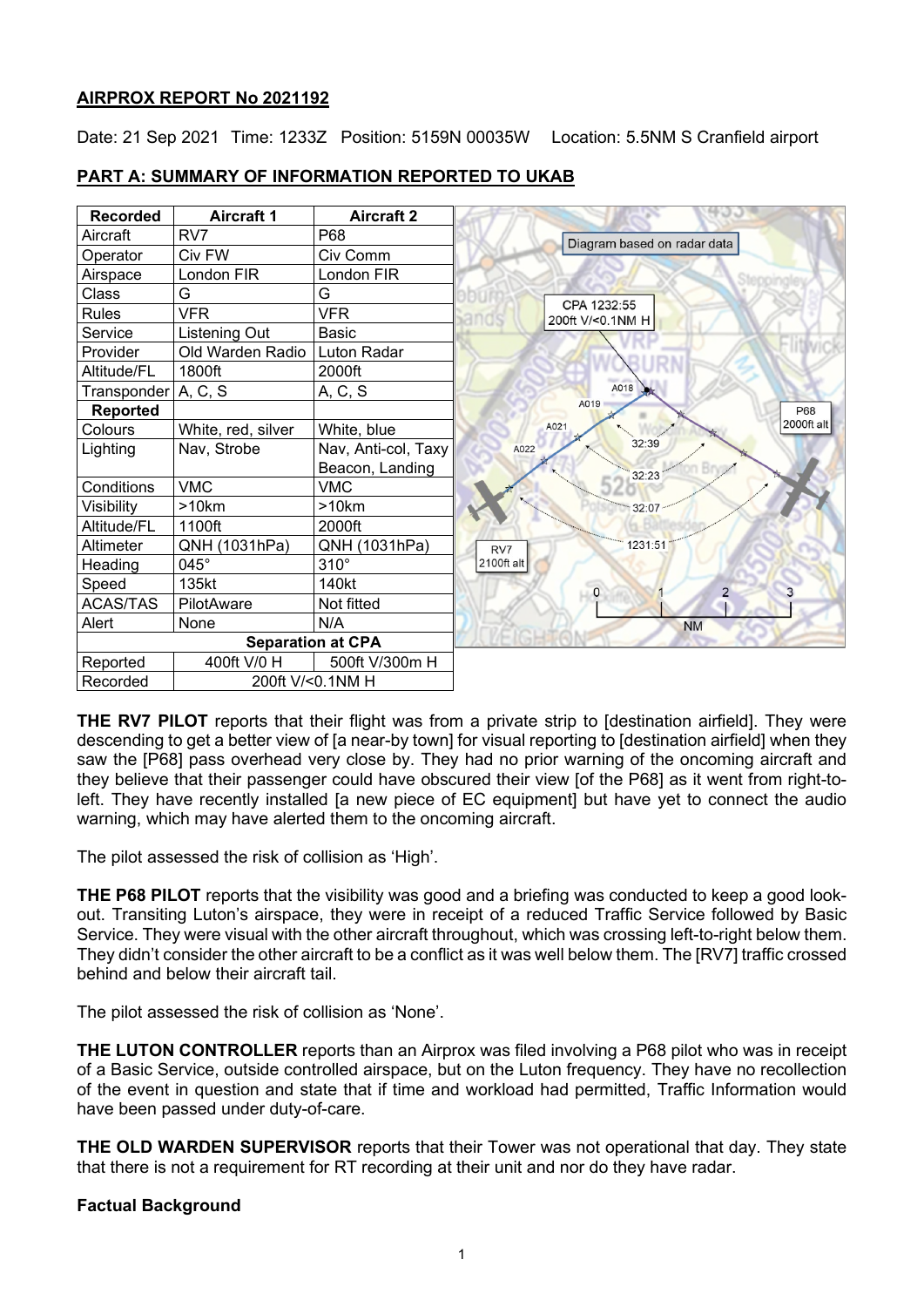# **AIRPROX REPORT No 2021192**

Date: 21 Sep 2021 Time: 1233Z Position: 5159N 00035W Location: 5.5NM S Cranfield airport

# **PART A: SUMMARY OF INFORMATION REPORTED TO UKAB**

| <b>Recorded</b>              | <b>Aircraft 1</b>    | <b>Aircraft 2</b>        |                             |
|------------------------------|----------------------|--------------------------|-----------------------------|
| Aircraft                     | RV7                  | P68                      | Diagram based on radar data |
| Operator                     | Civ FW               | Civ Comm                 |                             |
| Airspace                     | London FIR           | London FIR               |                             |
| Class                        | G                    | G                        | CPA 1232:55                 |
| <b>Rules</b>                 | <b>VFR</b>           | VFR                      | 200ft V/<0.1NM H            |
| Service                      | <b>Listening Out</b> | Basic                    |                             |
| Provider                     | Old Warden Radio     | Luton Radar              |                             |
| Altitude/FL                  | 1800ft               | 2000ft                   |                             |
| Transponder   A, C, S        |                      | A, C, S                  | A018                        |
| Reported                     |                      |                          | A019<br>P68                 |
| Colours                      | White, red, silver   | White, blue              | 2000ft alt<br>A021          |
| Lighting                     | Nav, Strobe          | Nav, Anti-col, Taxy      | 32:39<br>A022               |
|                              |                      | Beacon, Landing          | 32:23                       |
| Conditions                   | <b>VMC</b>           | <b>VMC</b>               |                             |
| Visibility                   | >10km                | >10km                    | 32:07                       |
| Altitude/FL                  | 1100ft               | 2000ft                   |                             |
| Altimeter                    | QNH (1031hPa)        | QNH (1031hPa)            | 1231:51<br>RV7              |
| Heading                      | 045°                 | $310^\circ$              | 2100ft alt                  |
| Speed                        | 135kt                | 140kt                    | $\circ$<br>$\overline{2}$   |
| <b>ACAS/TAS</b>              | PilotAware           | Not fitted               |                             |
| Alert                        | None                 | N/A                      | <b>NM</b>                   |
|                              |                      | <b>Separation at CPA</b> |                             |
| Reported                     | 400ft V/0 H          | 500ft V/300m H           |                             |
| 200ft V/<0.1NM H<br>Recorded |                      |                          |                             |

**THE RV7 PILOT** reports that their flight was from a private strip to [destination airfield]. They were descending to get a better view of [a near-by town] for visual reporting to [destination airfield] when they saw the [P68] pass overhead very close by. They had no prior warning of the oncoming aircraft and they believe that their passenger could have obscured their view [of the P68] as it went from right-toleft. They have recently installed [a new piece of EC equipment] but have yet to connect the audio warning, which may have alerted them to the oncoming aircraft.

The pilot assessed the risk of collision as 'High'.

**THE P68 PILOT** reports that the visibility was good and a briefing was conducted to keep a good lookout. Transiting Luton's airspace, they were in receipt of a reduced Traffic Service followed by Basic Service. They were visual with the other aircraft throughout, which was crossing left-to-right below them. They didn't consider the other aircraft to be a conflict as it was well below them. The [RV7] traffic crossed behind and below their aircraft tail.

The pilot assessed the risk of collision as 'None'.

**THE LUTON CONTROLLER** reports than an Airprox was filed involving a P68 pilot who was in receipt of a Basic Service, outside controlled airspace, but on the Luton frequency. They have no recollection of the event in question and state that if time and workload had permitted, Traffic Information would have been passed under duty-of-care.

**THE OLD WARDEN SUPERVISOR** reports that their Tower was not operational that day. They state that there is not a requirement for RT recording at their unit and nor do they have radar.

## **Factual Background**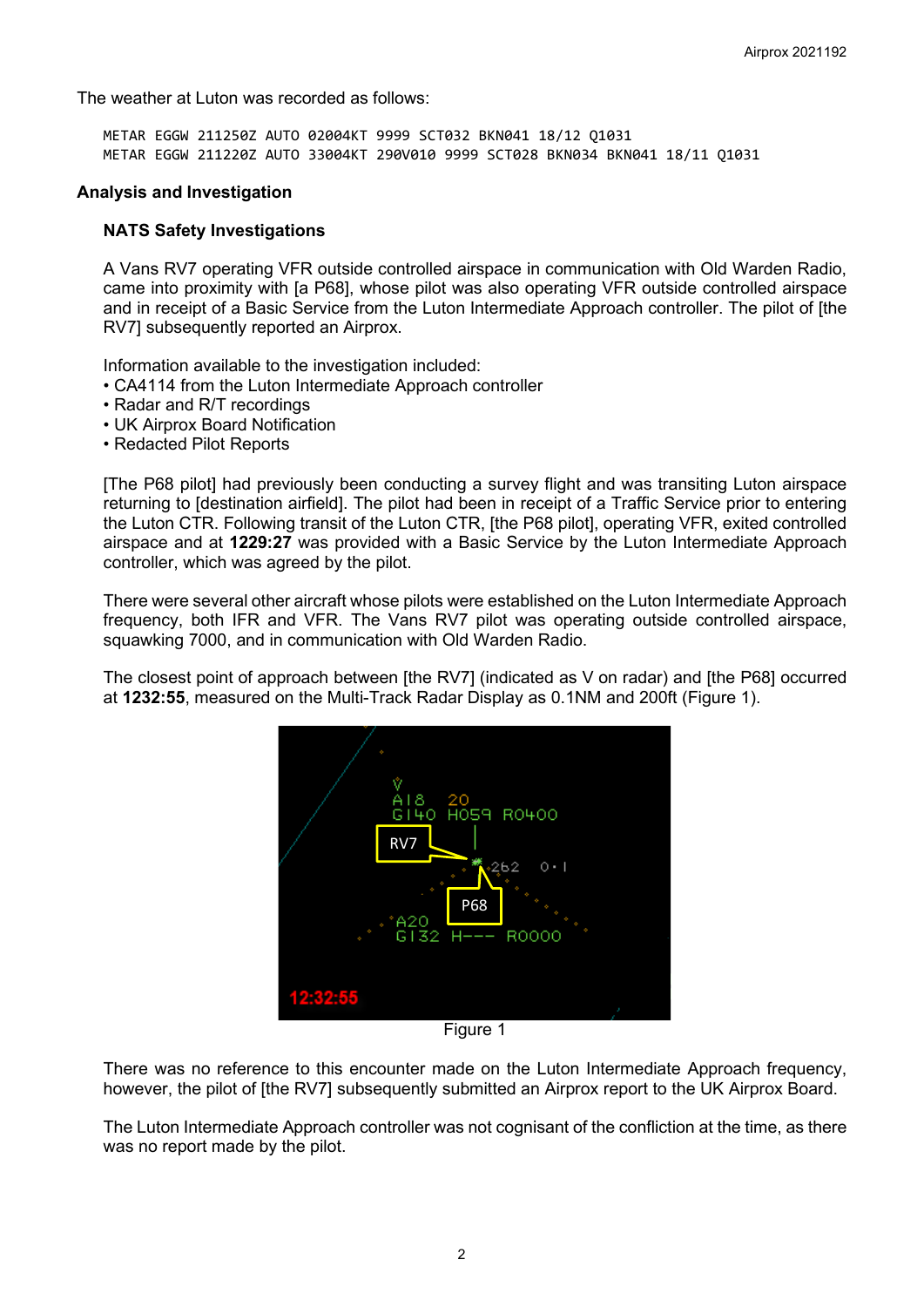The weather at Luton was recorded as follows:

METAR EGGW 211250Z AUTO 02004KT 9999 SCT032 BKN041 18/12 Q1031 METAR EGGW 211220Z AUTO 33004KT 290V010 9999 SCT028 BKN034 BKN041 18/11 Q1031

#### **Analysis and Investigation**

### **NATS Safety Investigations**

A Vans RV7 operating VFR outside controlled airspace in communication with Old Warden Radio, came into proximity with [a P68], whose pilot was also operating VFR outside controlled airspace and in receipt of a Basic Service from the Luton Intermediate Approach controller. The pilot of [the RV7] subsequently reported an Airprox.

Information available to the investigation included:

- CA4114 from the Luton Intermediate Approach controller
- Radar and R/T recordings
- UK Airprox Board Notification
- Redacted Pilot Reports

[The P68 pilot] had previously been conducting a survey flight and was transiting Luton airspace returning to [destination airfield]. The pilot had been in receipt of a Traffic Service prior to entering the Luton CTR. Following transit of the Luton CTR, [the P68 pilot], operating VFR, exited controlled airspace and at **1229:27** was provided with a Basic Service by the Luton Intermediate Approach controller, which was agreed by the pilot.

There were several other aircraft whose pilots were established on the Luton Intermediate Approach frequency, both IFR and VFR. The Vans RV7 pilot was operating outside controlled airspace, squawking 7000, and in communication with Old Warden Radio.

The closest point of approach between [the RV7] (indicated as V on radar) and [the P68] occurred at **1232:55**, measured on the Multi-Track Radar Display as 0.1NM and 200ft (Figure 1).



Figure 1

There was no reference to this encounter made on the Luton Intermediate Approach frequency, however, the pilot of [the RV7] subsequently submitted an Airprox report to the UK Airprox Board.

The Luton Intermediate Approach controller was not cognisant of the confliction at the time, as there was no report made by the pilot.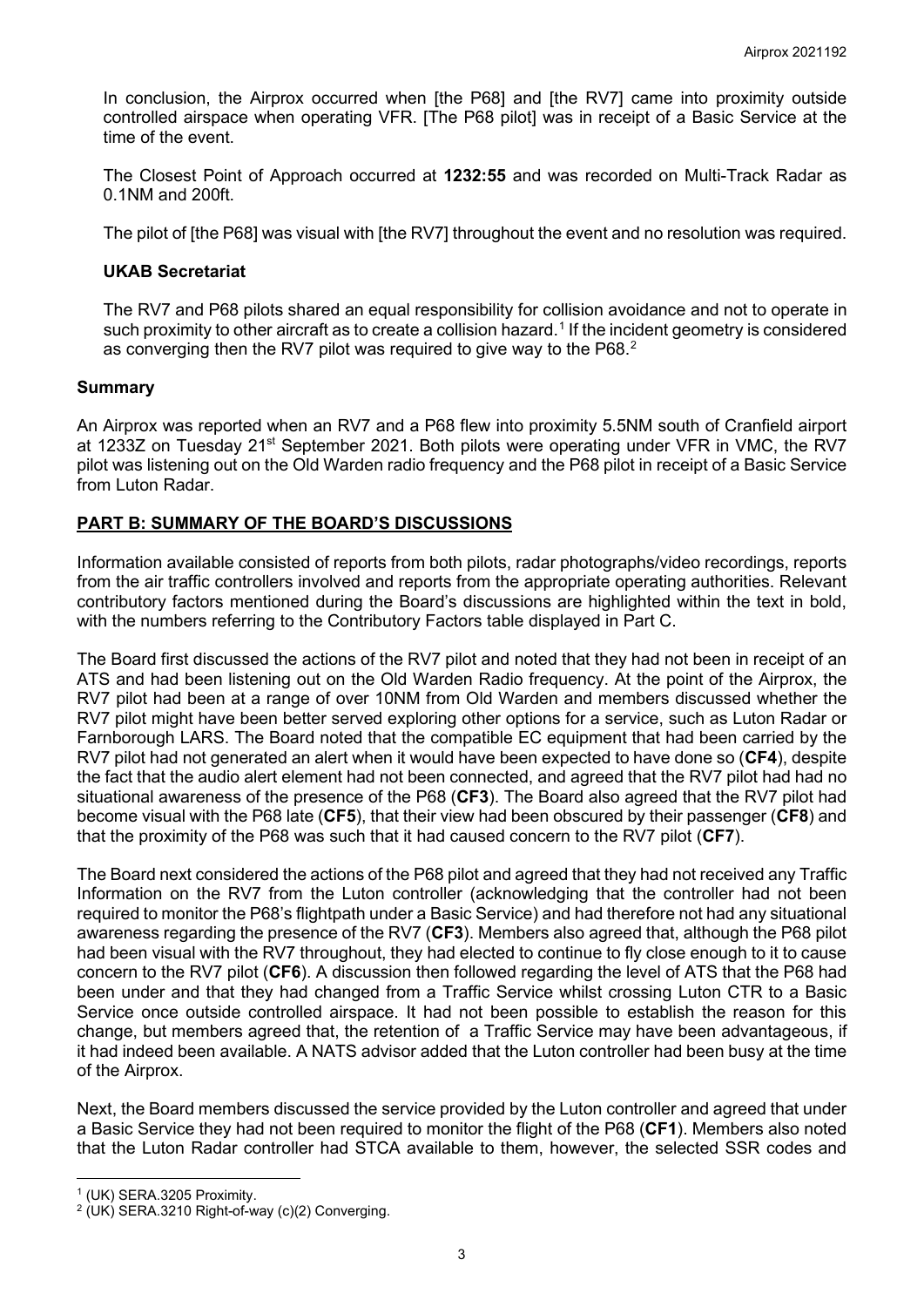In conclusion, the Airprox occurred when [the P68] and [the RV7] came into proximity outside controlled airspace when operating VFR. [The P68 pilot] was in receipt of a Basic Service at the time of the event.

The Closest Point of Approach occurred at **1232:55** and was recorded on Multi-Track Radar as 0.1NM and 200ft.

The pilot of [the P68] was visual with [the RV7] throughout the event and no resolution was required.

## **UKAB Secretariat**

The RV7 and P68 pilots shared an equal responsibility for collision avoidance and not to operate in such proximity to other aircraft as to create a collision hazard. [1](#page-2-0) If the incident geometry is considered as converging then the RV7 pilot was required to give way to the P68. $^{\rm 2}$  $^{\rm 2}$  $^{\rm 2}$ 

### **Summary**

An Airprox was reported when an RV7 and a P68 flew into proximity 5.5NM south of Cranfield airport at 1233Z on Tuesday 21<sup>st</sup> September 2021. Both pilots were operating under VFR in VMC, the RV7 pilot was listening out on the Old Warden radio frequency and the P68 pilot in receipt of a Basic Service from Luton Radar.

## **PART B: SUMMARY OF THE BOARD'S DISCUSSIONS**

Information available consisted of reports from both pilots, radar photographs/video recordings, reports from the air traffic controllers involved and reports from the appropriate operating authorities. Relevant contributory factors mentioned during the Board's discussions are highlighted within the text in bold, with the numbers referring to the Contributory Factors table displayed in Part C.

The Board first discussed the actions of the RV7 pilot and noted that they had not been in receipt of an ATS and had been listening out on the Old Warden Radio frequency. At the point of the Airprox, the RV7 pilot had been at a range of over 10NM from Old Warden and members discussed whether the RV7 pilot might have been better served exploring other options for a service, such as Luton Radar or Farnborough LARS. The Board noted that the compatible EC equipment that had been carried by the RV7 pilot had not generated an alert when it would have been expected to have done so (**CF4**), despite the fact that the audio alert element had not been connected, and agreed that the RV7 pilot had had no situational awareness of the presence of the P68 (**CF3**). The Board also agreed that the RV7 pilot had become visual with the P68 late (**CF5**), that their view had been obscured by their passenger (**CF8**) and that the proximity of the P68 was such that it had caused concern to the RV7 pilot (**CF7**).

The Board next considered the actions of the P68 pilot and agreed that they had not received any Traffic Information on the RV7 from the Luton controller (acknowledging that the controller had not been required to monitor the P68's flightpath under a Basic Service) and had therefore not had any situational awareness regarding the presence of the RV7 (**CF3**). Members also agreed that, although the P68 pilot had been visual with the RV7 throughout, they had elected to continue to fly close enough to it to cause concern to the RV7 pilot (**CF6**). A discussion then followed regarding the level of ATS that the P68 had been under and that they had changed from a Traffic Service whilst crossing Luton CTR to a Basic Service once outside controlled airspace. It had not been possible to establish the reason for this change, but members agreed that, the retention of a Traffic Service may have been advantageous, if it had indeed been available. A NATS advisor added that the Luton controller had been busy at the time of the Airprox.

Next, the Board members discussed the service provided by the Luton controller and agreed that under a Basic Service they had not been required to monitor the flight of the P68 (**CF1**). Members also noted that the Luton Radar controller had STCA available to them, however, the selected SSR codes and

<span id="page-2-0"></span><sup>1</sup> (UK) SERA.3205 Proximity.

<span id="page-2-1"></span> $2$  (UK) SERA.3210 Right-of-way (c)(2) Converging.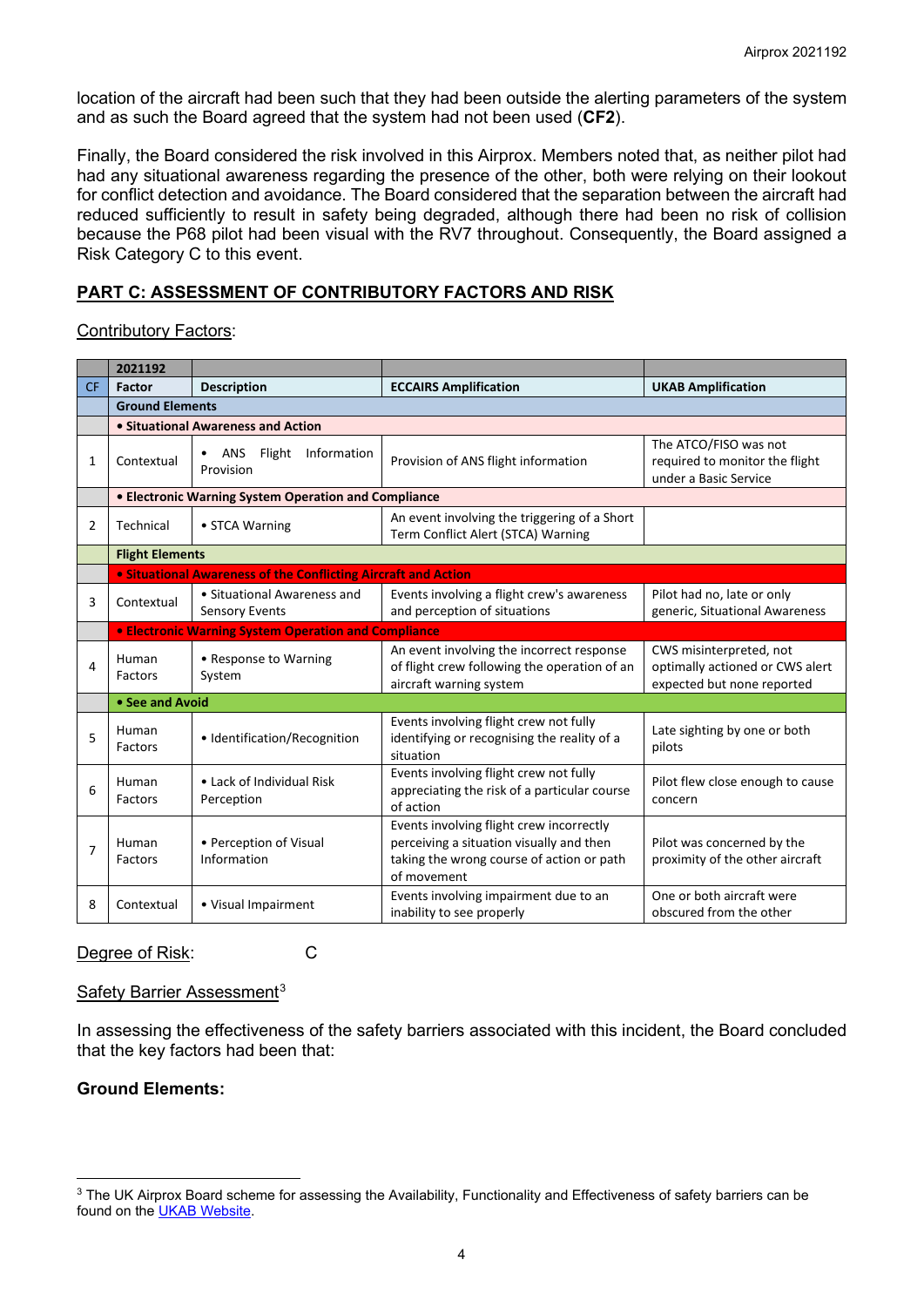location of the aircraft had been such that they had been outside the alerting parameters of the system and as such the Board agreed that the system had not been used (**CF2**).

Finally, the Board considered the risk involved in this Airprox. Members noted that, as neither pilot had had any situational awareness regarding the presence of the other, both were relying on their lookout for conflict detection and avoidance. The Board considered that the separation between the aircraft had reduced sufficiently to result in safety being degraded, although there had been no risk of collision because the P68 pilot had been visual with the RV7 throughout. Consequently, the Board assigned a Risk Category C to this event.

## **PART C: ASSESSMENT OF CONTRIBUTORY FACTORS AND RISK**

Contributory Factors:

|                | 2021192                                                        |                                                             |                                                                                                                                                  |                                                                                          |  |  |  |  |  |  |
|----------------|----------------------------------------------------------------|-------------------------------------------------------------|--------------------------------------------------------------------------------------------------------------------------------------------------|------------------------------------------------------------------------------------------|--|--|--|--|--|--|
| <b>CF</b>      | <b>Factor</b>                                                  | <b>Description</b>                                          | <b>ECCAIRS Amplification</b>                                                                                                                     | <b>UKAB Amplification</b>                                                                |  |  |  |  |  |  |
|                |                                                                | <b>Ground Elements</b>                                      |                                                                                                                                                  |                                                                                          |  |  |  |  |  |  |
|                |                                                                | • Situational Awareness and Action                          |                                                                                                                                                  |                                                                                          |  |  |  |  |  |  |
| 1              | Contextual                                                     | ANS<br>Flight<br>Information<br>Provision                   | Provision of ANS flight information                                                                                                              | The ATCO/FISO was not<br>required to monitor the flight<br>under a Basic Service         |  |  |  |  |  |  |
|                |                                                                | • Electronic Warning System Operation and Compliance        |                                                                                                                                                  |                                                                                          |  |  |  |  |  |  |
| 2              | Technical                                                      | • STCA Warning                                              | An event involving the triggering of a Short<br>Term Conflict Alert (STCA) Warning                                                               |                                                                                          |  |  |  |  |  |  |
|                | <b>Flight Elements</b>                                         |                                                             |                                                                                                                                                  |                                                                                          |  |  |  |  |  |  |
|                | • Situational Awareness of the Conflicting Aircraft and Action |                                                             |                                                                                                                                                  |                                                                                          |  |  |  |  |  |  |
| 3              | Contextual                                                     | • Situational Awareness and<br><b>Sensory Events</b>        | Events involving a flight crew's awareness<br>and perception of situations                                                                       | Pilot had no, late or only<br>generic, Situational Awareness                             |  |  |  |  |  |  |
|                |                                                                | <b>• Electronic Warning System Operation and Compliance</b> |                                                                                                                                                  |                                                                                          |  |  |  |  |  |  |
| 4              | Human<br>Factors                                               | • Response to Warning<br>System                             | An event involving the incorrect response<br>of flight crew following the operation of an<br>aircraft warning system                             | CWS misinterpreted, not<br>optimally actioned or CWS alert<br>expected but none reported |  |  |  |  |  |  |
|                |                                                                | • See and Avoid                                             |                                                                                                                                                  |                                                                                          |  |  |  |  |  |  |
| 5              | Human<br>Factors                                               | · Identification/Recognition                                | Events involving flight crew not fully<br>identifying or recognising the reality of a<br>situation                                               | Late sighting by one or both<br>pilots                                                   |  |  |  |  |  |  |
| 6              | Human<br>Factors                                               | • Lack of Individual Risk<br>Perception                     | Events involving flight crew not fully<br>appreciating the risk of a particular course<br>of action                                              | Pilot flew close enough to cause<br>concern                                              |  |  |  |  |  |  |
| $\overline{7}$ | Human<br>Factors                                               | • Perception of Visual<br>Information                       | Events involving flight crew incorrectly<br>perceiving a situation visually and then<br>taking the wrong course of action or path<br>of movement | Pilot was concerned by the<br>proximity of the other aircraft                            |  |  |  |  |  |  |
| 8              | Contextual                                                     | • Visual Impairment                                         | Events involving impairment due to an<br>inability to see properly                                                                               | One or both aircraft were<br>obscured from the other                                     |  |  |  |  |  |  |

Degree of Risk: C

#### Safety Barrier Assessment<sup>[3](#page-3-0)</sup>

In assessing the effectiveness of the safety barriers associated with this incident, the Board concluded that the key factors had been that:

### **Ground Elements:**

<span id="page-3-0"></span><sup>&</sup>lt;sup>3</sup> The UK Airprox Board scheme for assessing the Availability, Functionality and Effectiveness of safety barriers can be found on the [UKAB Website.](http://www.airproxboard.org.uk/Learn-more/Airprox-Barrier-Assessment/)